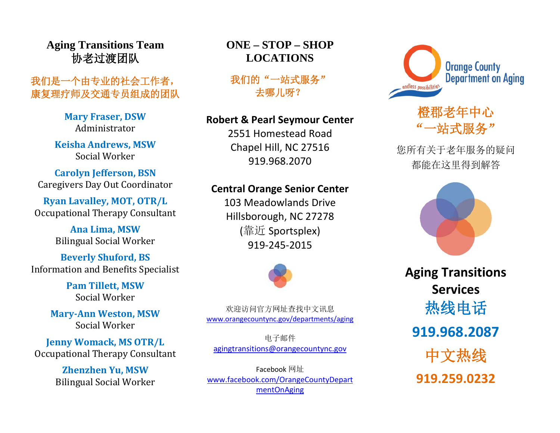**Aging Transitions Team** 协老过渡团队

## 我们是一个由专业的社会工作者, 康复理疗师及交通专员组成的团队

**Mary Fraser, DSW** Administrator

**Keisha Andrews, MSW** Social Worker

**Carolyn Jefferson, BSN** Caregivers Day Out Coordinator

**Ryan Lavalley, MOT, OTR/L** Occupational Therapy Consultant

> **Ana Lima, MSW** Bilingual Social Worker

**Beverly Shuford, BS** Information and Benefits Specialist

> **Pam Tillett, MSW** Social Worker

**Mary-Ann Weston, MSW** Social Worker

**Jenny Womack, MS OTR/L** Occupational Therapy Consultant

> **Zhenzhen Yu, MSW** Bilingual Social Worker

## **ONE – STOP – SHOP LOCATIONS**

我们的"一站式服务" 去哪儿呀?

#### **Robert & Pearl Seymour Center**

2551 Homestead Road Chapel Hill, NC 27516 919.968.2070

## **Central Orange Senior Center**

103 Meadowlands Drive Hillsborough, NC 27278 (靠近 Sportsplex) 919-245-2015



欢迎访问官方网址查找中文讯息 [www.orangecountync.gov/departments/aging](http://www.orangecountync.gov/departments/aging)

电子邮件 [agingtransitions@orangecountync.gov](mailto:agingtransitions@orangecountync.gov)

Facebook 网址 [www.facebook.com/OrangeCountyDepart](http://www.facebook.com/OrangeCountyDepartmentOnAging) [mentOnAging](http://www.facebook.com/OrangeCountyDepartmentOnAging)



# 橙郡老年中心 站式服务"

您所有关于老年服务的疑问 都能在这里得到解答



**Aging Transitions Services** 热线电话 **919.968.2087** 中文热线 **919.259.0232**